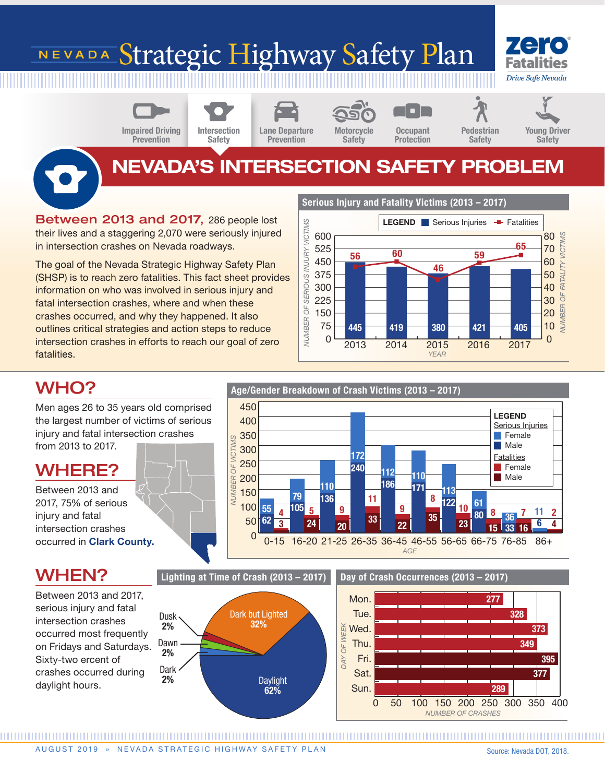# NEVADA Strategic Highway Safety Plan





Lane Departure Prevention Intersection

Safety

Motorcycle Safety

**Occupant** Protection



## NEVADA'S INTERSECTION SAFETY PROBLEM

Between 2013 and 2017, 286 people lost their lives and a staggering 2,070 were seriously injured in intersection crashes on Nevada roadways.

The goal of the Nevada Strategic Highway Safety Plan (SHSP) is to reach zero fatalities. This fact sheet provides information on who was involved in serious injury and fatal intersection crashes, where and when these crashes occurred, and why they happened. It also outlines critical strategies and action steps to reduce intersection crashes in efforts to reach our goal of zero fatalities.

Serious Injury and Fatality Victims (2013 – 2017)



## WHO?

To

Men ages 26 to 35 years old comprised the largest number of victims of serious injury and fatal intersection crashes from 2013 to 2017.

### WHERE?

Between 2013 and 2017, 75% of serious injury and fatal intersection crashes occurred in Clark County.

### WHEN?

Between 2013 and 2017, serious injury and fatal intersection crashes occurred most frequently on Fridays and Saturdays. Sixty-two ercent of crashes occurred during daylight hours.









Day of Crash Occurrences (2013 – 2017)